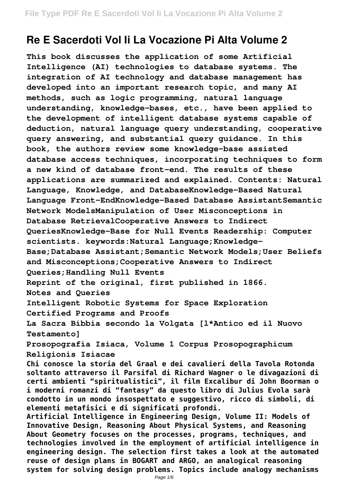# **Re E Sacerdoti Vol Ii La Vocazione Pi Alta Volume 2**

**This book discusses the application of some Artificial Intelligence (AI) technologies to database systems. The integration of AI technology and database management has developed into an important research topic, and many AI methods, such as logic programming, natural language understanding, knowledge-bases, etc., have been applied to the development of intelligent database systems capable of deduction, natural language query understanding, cooperative query answering, and substantial query guidance. In this book, the authors review some knowledge-base assisted database access techniques, incorporating techniques to form a new kind of database front-end. The results of these applications are summarized and explained. Contents: Natural Language, Knowledge, and DatabaseKnowledge-Based Natural Language Front-EndKnowledge-Based Database AssistantSemantic Network ModelsManipulation of User Misconceptions in Database RetrievalCooperative Answers to Indirect QueriesKnowledge-Base for Null Events Readership: Computer scientists. keywords:Natural Language;Knowledge-Base;Database Assistant;Semantic Network Models;User Beliefs and Misconceptions;Cooperative Answers to Indirect Queries;Handling Null Events Reprint of the original, first published in 1866. Notes and Queries Intelligent Robotic Systems for Space Exploration Certified Programs and Proofs La Sacra Bibbia secondo la Volgata [l\*Antico ed il Nuovo Testamento] Prosopografia Isiaca, Volume 1 Corpus Prosopographicum Religionis Isiacae Chi conosce la storia del Graal e dei cavalieri della Tavola Rotonda soltanto attraverso il Parsifal di Richard Wagner o le divagazioni di certi ambienti "spiritualistici", il film Excalibur di John Boorman o i moderni romanzi di "fantasy" da questo libro di Julius Evola sarà condotto in un mondo insospettato e suggestivo, ricco di simboli, di elementi metafisici e di significati profondi. Artificial Intelligence in Engineering Design, Volume II: Models of Innovative Design, Reasoning About Physical Systems, and Reasoning About Geometry focuses on the processes, programs, techniques, and technologies involved in the employment of artificial intelligence in engineering design. The selection first takes a look at the automated reuse of design plans in BOGART and ARGO, an analogical reasoning system for solving design problems. Topics include analogy mechanisms**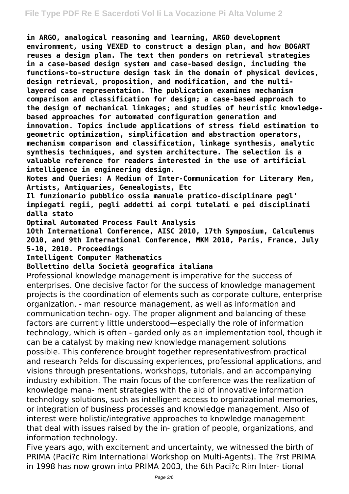**in ARGO, analogical reasoning and learning, ARGO development environment, using VEXED to construct a design plan, and how BOGART reuses a design plan. The text then ponders on retrieval strategies in a case-based design system and case-based design, including the functions-to-structure design task in the domain of physical devices, design retrieval, proposition, and modification, and the multilayered case representation. The publication examines mechanism comparison and classification for design; a case-based approach to the design of mechanical linkages; and studies of heuristic knowledgebased approaches for automated configuration generation and innovation. Topics include applications of stress field estimation to geometric optimization, simplification and abstraction operators, mechanism comparison and classification, linkage synthesis, analytic synthesis techniques, and system architecture. The selection is a valuable reference for readers interested in the use of artificial intelligence in engineering design.**

**Notes and Queries: A Medium of Inter-Communication for Literary Men, Artists, Antiquaries, Genealogists, Etc**

**Il funzionario pubblico ossia manuale pratico-disciplinare pegl' impiegati regii, pegli addetti ai corpi tutelati e pei disciplinati dalla stato**

**Optimal Automated Process Fault Analysis**

**10th International Conference, AISC 2010, 17th Symposium, Calculemus 2010, and 9th International Conference, MKM 2010, Paris, France, July 5-10, 2010. Proceedings**

### **Intelligent Computer Mathematics**

### **Bollettino della Società geografica italiana**

Professional knowledge management is imperative for the success of enterprises. One decisive factor for the success of knowledge management projects is the coordination of elements such as corporate culture, enterprise organization, - man resource management, as well as information and communication techn- ogy. The proper alignment and balancing of these factors are currently little understood—especially the role of information technology, which is often - garded only as an implementation tool, though it can be a catalyst by making new knowledge management solutions possible. This conference brought together representativesfrom practical and research ?elds for discussing experiences, professional applications, and visions through presentations, workshops, tutorials, and an accompanying industry exhibition. The main focus of the conference was the realization of knowledge mana- ment strategies with the aid of innovative information technology solutions, such as intelligent access to organizational memories, or integration of business processes and knowledge management. Also of interest were holistic/integrative approaches to knowledge management that deal with issues raised by the in- gration of people, organizations, and information technology.

Five years ago, with excitement and uncertainty, we witnessed the birth of PRIMA (Paci?c Rim International Workshop on Multi-Agents). The ?rst PRIMA in 1998 has now grown into PRIMA 2003, the 6th Paci?c Rim Inter- tional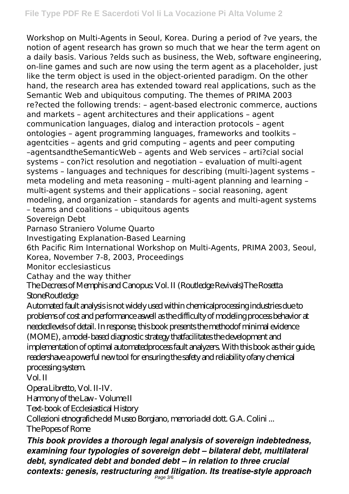Workshop on Multi-Agents in Seoul, Korea. During a period of ?ve years, the notion of agent research has grown so much that we hear the term agent on a daily basis. Various ?elds such as business, the Web, software engineering, on-line games and such are now using the term agent as a placeholder, just like the term object is used in the object-oriented paradigm. On the other hand, the research area has extended toward real applications, such as the Semantic Web and ubiquitous computing. The themes of PRIMA 2003 re?ected the following trends: – agent-based electronic commerce, auctions and markets – agent architectures and their applications – agent communication languages, dialog and interaction protocols – agent ontologies – agent programming languages, frameworks and toolkits – agentcities – agents and grid computing – agents and peer computing –agentsandtheSemanticWeb – agents and Web services – arti?cial social systems – con?ict resolution and negotiation – evaluation of multi-agent systems – languages and techniques for describing (multi-)agent systems – meta modeling and meta reasoning – multi-agent planning and learning – multi-agent systems and their applications – social reasoning, agent modeling, and organization – standards for agents and multi-agent systems – teams and coalitions – ubiquitous agents Sovereign Debt

Parnaso Straniero Volume Quarto

Investigating Explanation-Based Learning

6th Pacific Rim International Workshop on Multi-Agents, PRIMA 2003, Seoul, Korea, November 7-8, 2003, Proceedings

Monitor ecclesiasticus

Cathay and the way thither

The Decrees of Memphis and Canopus: Vol. II (Routledge Revivals)The Rosetta **StoneRoutledge** 

Automated fault analysis is not widely used within chemicalprocessing industries due to problems of cost and performance aswell as the difficulty of modeling process behavior at neededlevels of detail. In response, this book presents the methodof minimal evidence (MOME), a model-based diagnostic strategy thatfacilitates the development and implementation of optimal automatedprocess fault analyzers. With this book as their guide, readershave a powerful new tool for ensuring the safety and reliability ofany chemical processing system.

Vol. II

Opera Libretto, Vol. II-IV.

Harmony of the Law - Volume II

Text-book of Ecclesiastical History

Collezioni etnografiche del Museo Borgiano, memoria del dott. G.A. Colini ...

The Popes of Rome

*This book provides a thorough legal analysis of sovereign indebtedness, examining four typologies of sovereign debt – bilateral debt, multilateral debt, syndicated debt and bonded debt – in relation to three crucial contexts: genesis, restructuring and litigation. Its treatise-style approach*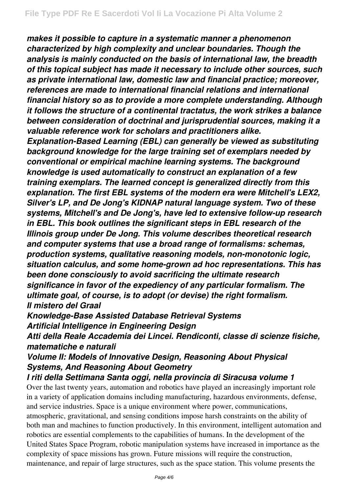*makes it possible to capture in a systematic manner a phenomenon characterized by high complexity and unclear boundaries. Though the analysis is mainly conducted on the basis of international law, the breadth of this topical subject has made it necessary to include other sources, such as private international law, domestic law and financial practice; moreover, references are made to international financial relations and international financial history so as to provide a more complete understanding. Although it follows the structure of a continental tractatus, the work strikes a balance between consideration of doctrinal and jurisprudential sources, making it a valuable reference work for scholars and practitioners alike.*

*Explanation-Based Learning (EBL) can generally be viewed as substituting background knowledge for the large training set of exemplars needed by conventional or empirical machine learning systems. The background knowledge is used automatically to construct an explanation of a few training exemplars. The learned concept is generalized directly from this explanation. The first EBL systems of the modern era were Mitchell's LEX2, Silver's LP, and De Jong's KIDNAP natural language system. Two of these systems, Mitchell's and De Jong's, have led to extensive follow-up research in EBL. This book outlines the significant steps in EBL research of the Illinois group under De Jong. This volume describes theoretical research and computer systems that use a broad range of formalisms: schemas, production systems, qualitative reasoning models, non-monotonic logic, situation calculus, and some home-grown ad hoc representations. This has been done consciously to avoid sacrificing the ultimate research significance in favor of the expediency of any particular formalism. The ultimate goal, of course, is to adopt (or devise) the right formalism. Il mistero del Graal*

*Knowledge-Base Assisted Database Retrieval Systems Artificial Intelligence in Engineering Design*

*Atti della Reale Accademia dei Lincei. Rendiconti, classe di scienze fisiche, matematiche e naturali*

## *Volume II: Models of Innovative Design, Reasoning About Physical Systems, And Reasoning About Geometry*

### *I riti della Settimana Santa oggi, nella provincia di Siracusa volume 1* Over the last twenty years, automation and robotics have played an increasingly important role

in a variety of application domains including manufacturing, hazardous environments, defense, and service industries. Space is a unique environment where power, communications, atmospheric, gravitational, and sensing conditions impose harsh constraints on the ability of both man and machines to function productively. In this environment, intelligent automation and robotics are essential complements to the capabilities of humans. In the development of the United States Space Program, robotic manipulation systems have increased in importance as the complexity of space missions has grown. Future missions will require the construction, maintenance, and repair of large structures, such as the space station. This volume presents the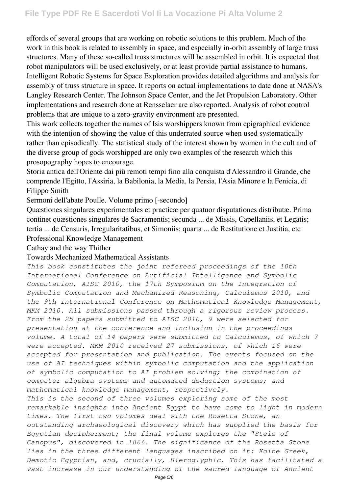effords of several groups that are working on robotic solutions to this problem. Much of the work in this book is related to assembly in space, and especially in-orbit assembly of large truss structures. Many of these so-called truss structures will be assembled in orbit. It is expected that robot manipulators will be used exclusively, or at least provide partial assistance to humans. Intelligent Robotic Systems for Space Exploration provides detailed algorithms and analysis for assembly of truss structure in space. It reports on actual implementations to date done at NASA's Langley Research Center. The Johnson Space Center, and the Jet Propulsion Laboratory. Other implementations and research done at Rensselaer are also reported. Analysis of robot control problems that are unique to a zero-gravity environment are presented.

This work collects together the names of Isis worshippers known from epigraphical evidence with the intention of showing the value of this underrated source when used systematically rather than episodically. The statistical study of the interest shown by women in the cult and of the diverse group of gods worshipped are only two examples of the research which this prosopography hopes to encourage.

Storia antica dell'Oriente dai più remoti tempi fino alla conquista d'Alessandro il Grande, che comprende l'Egitto, l'Assiria, la Babilonia, la Media, la Persia, l'Asia Minore e la Fenicia, di Filippo Smith

Sermoni dell'abate Poulle. Volume primo [-secondo]

Quæstiones singulares experimentales et practicæ per quatuor disputationes distributæ. Prima continet quæstiones singulares de Sacramentis; secunda ... de Missis, Capellaniis, et Legatis; tertia ... de Censuris, Irregularitatibus, et Simoniis; quarta ... de Restitutione et Justitia, etc Professional Knowledge Management

Cathay and the way Thither

### Towards Mechanized Mathematical Assistants

*This book constitutes the joint refereed proceedings of the 10th International Conference on Artificial Intelligence and Symbolic Computation, AISC 2010, the 17th Symposium on the Integration of Symbolic Computation and Mechanized Reasoning, Calculemus 2010, and the 9th International Conference on Mathematical Knowledge Management, MKM 2010. All submissions passed through a rigorous review process. From the 25 papers submitted to AISC 2010, 9 were selected for presentation at the conference and inclusion in the proceedings volume. A total of 14 papers were submitted to Calculemus, of which 7 were accepted. MKM 2010 received 27 submissions, of which 16 were accepted for presentation and publication. The events focused on the use of AI techniques within symbolic computation and the application of symbolic computation to AI problem solving; the combination of computer algebra systems and automated deduction systems; and mathematical knowledge management, respectively. This is the second of three volumes exploring some of the most remarkable insights into Ancient Egypt to have come to light in modern times. The first two volumes deal with the Rosetta Stone, an*

*outstanding archaeological discovery which has supplied the basis for Egyptian decipherment; the final volume explores the "Stele of Canopus", discovered in 1866. The significance of the Rosetta Stone lies in the three different languages inscribed on it: Koine Greek, Demotic Egyptian, and, crucially, Hieroglyphic. This has facilitated a vast increase in our understanding of the sacred language of Ancient*